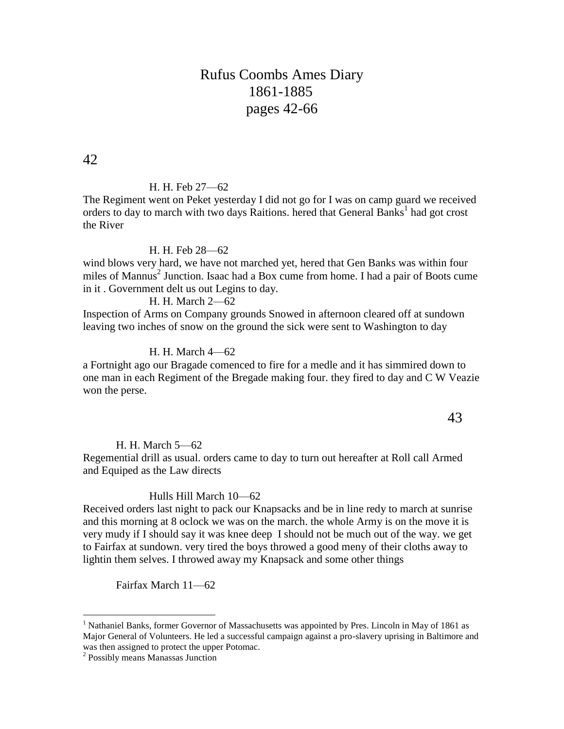# Rufus Coombs Ames Diary 1861-1885 pages 42-66

42

#### H. H. Feb 27—62

The Regiment went on Peket yesterday I did not go for I was on camp guard we received orders to day to march with two days Raitions. hered that General Banks<sup>1</sup> had got crost the River

### H. H. Feb 28—62

wind blows very hard, we have not marched yet, hered that Gen Banks was within four miles of Mannus<sup>2</sup> Junction. Isaac had a Box cume from home. I had a pair of Boots cume in it . Government delt us out Legins to day.

### H. H. March 2—62

Inspection of Arms on Company grounds Snowed in afternoon cleared off at sundown leaving two inches of snow on the ground the sick were sent to Washington to day

### H. H. March 4—62

a Fortnight ago our Bragade comenced to fire for a medle and it has simmired down to one man in each Regiment of the Bregade making four. they fired to day and C W Veazie won the perse.

43

### H. H. March 5—62

Regemential drill as usual. orders came to day to turn out hereafter at Roll call Armed and Equiped as the Law directs

#### Hulls Hill March 10—62

Received orders last night to pack our Knapsacks and be in line redy to march at sunrise and this morning at 8 oclock we was on the march. the whole Army is on the move it is very mudy if I should say it was knee deep I should not be much out of the way. we get to Fairfax at sundown. very tired the boys throwed a good meny of their cloths away to lightin them selves. I throwed away my Knapsack and some other things

Fairfax March 11—62

 $\overline{a}$ 

<sup>&</sup>lt;sup>1</sup> Nathaniel Banks, former Governor of Massachusetts was appointed by Pres. Lincoln in May of 1861 as Major General of Volunteers. He led a successful campaign against a pro-slavery uprising in Baltimore and was then assigned to protect the upper Potomac.

<sup>2</sup> Possibly means Manassas Junction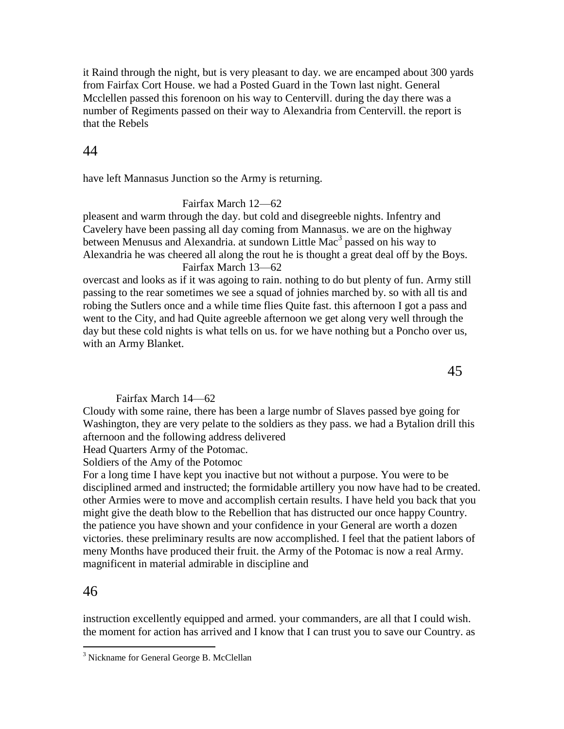it Raind through the night, but is very pleasant to day. we are encamped about 300 yards from Fairfax Cort House. we had a Posted Guard in the Town last night. General Mcclellen passed this forenoon on his way to Centervill. during the day there was a number of Regiments passed on their way to Alexandria from Centervill. the report is that the Rebels

# 44

have left Mannasus Junction so the Army is returning.

### Fairfax March 12—62

pleasent and warm through the day. but cold and disegreeble nights. Infentry and Cavelery have been passing all day coming from Mannasus. we are on the highway between Menusus and Alexandria. at sundown Little Mac<sup>3</sup> passed on his way to Alexandria he was cheered all along the rout he is thought a great deal off by the Boys.

### Fairfax March 13—62

overcast and looks as if it was agoing to rain. nothing to do but plenty of fun. Army still passing to the rear sometimes we see a squad of johnies marched by. so with all tis and robing the Sutlers once and a while time flies Quite fast. this afternoon I got a pass and went to the City, and had Quite agreeble afternoon we get along very well through the day but these cold nights is what tells on us. for we have nothing but a Poncho over us, with an Army Blanket.

### Fairfax March 14—62

Cloudy with some raine, there has been a large numbr of Slaves passed bye going for Washington, they are very pelate to the soldiers as they pass. we had a Bytalion drill this afternoon and the following address delivered

Head Quarters Army of the Potomac.

Soldiers of the Amy of the Potomoc

For a long time I have kept you inactive but not without a purpose. You were to be disciplined armed and instructed; the formidable artillery you now have had to be created. other Armies were to move and accomplish certain results. I have held you back that you might give the death blow to the Rebellion that has distructed our once happy Country. the patience you have shown and your confidence in your General are worth a dozen victories. these preliminary results are now accomplished. I feel that the patient labors of meny Months have produced their fruit. the Army of the Potomac is now a real Army. magnificent in material admirable in discipline and

# 46

 $\overline{a}$ 

instruction excellently equipped and armed. your commanders, are all that I could wish. the moment for action has arrived and I know that I can trust you to save our Country. as

<sup>&</sup>lt;sup>3</sup> Nickname for General George B. McClellan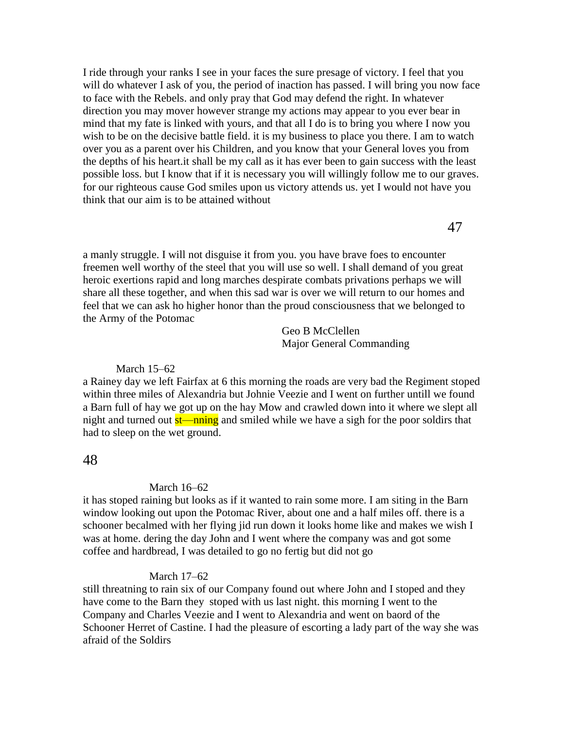I ride through your ranks I see in your faces the sure presage of victory. I feel that you will do whatever I ask of you, the period of inaction has passed. I will bring you now face to face with the Rebels. and only pray that God may defend the right. In whatever direction you may mover however strange my actions may appear to you ever bear in mind that my fate is linked with yours, and that all I do is to bring you where I now you wish to be on the decisive battle field. it is my business to place you there. I am to watch over you as a parent over his Children, and you know that your General loves you from the depths of his heart.it shall be my call as it has ever been to gain success with the least possible loss. but I know that if it is necessary you will willingly follow me to our graves. for our righteous cause God smiles upon us victory attends us. yet I would not have you think that our aim is to be attained without

47

a manly struggle. I will not disguise it from you. you have brave foes to encounter freemen well worthy of the steel that you will use so well. I shall demand of you great heroic exertions rapid and long marches despirate combats privations perhaps we will share all these together, and when this sad war is over we will return to our homes and feel that we can ask ho higher honor than the proud consciousness that we belonged to the Army of the Potomac

> Geo B McClellen Major General Commanding

#### March 15–62

a Rainey day we left Fairfax at 6 this morning the roads are very bad the Regiment stoped within three miles of Alexandria but Johnie Veezie and I went on further untill we found a Barn full of hay we got up on the hay Mow and crawled down into it where we slept all night and turned out st—nning and smiled while we have a sigh for the poor soldirs that had to sleep on the wet ground.

### 48

#### March 16–62

it has stoped raining but looks as if it wanted to rain some more. I am siting in the Barn window looking out upon the Potomac River, about one and a half miles off. there is a schooner becalmed with her flying jid run down it looks home like and makes we wish I was at home. dering the day John and I went where the company was and got some coffee and hardbread, I was detailed to go no fertig but did not go

#### March 17–62

still threatning to rain six of our Company found out where John and I stoped and they have come to the Barn they stoped with us last night. this morning I went to the Company and Charles Veezie and I went to Alexandria and went on baord of the Schooner Herret of Castine. I had the pleasure of escorting a lady part of the way she was afraid of the Soldirs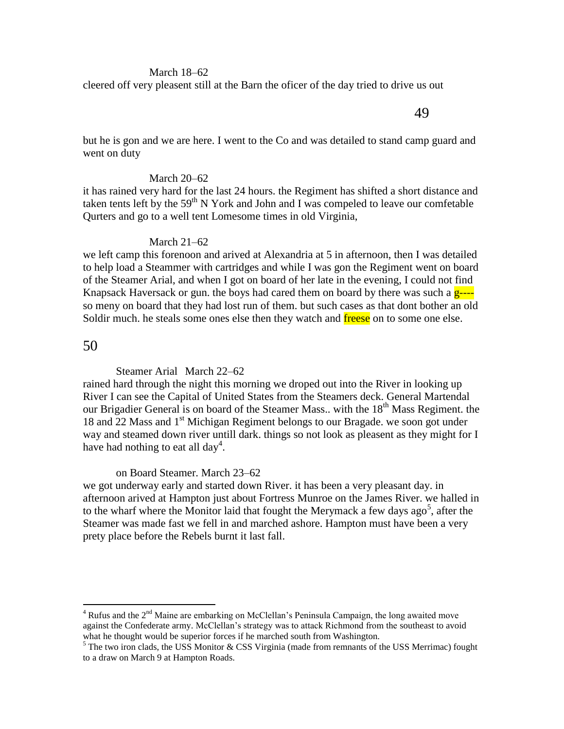#### March 18–62

cleered off very pleasent still at the Barn the oficer of the day tried to drive us out

49

but he is gon and we are here. I went to the Co and was detailed to stand camp guard and went on duty

#### March 20–62

it has rained very hard for the last 24 hours. the Regiment has shifted a short distance and taken tents left by the  $59<sup>th</sup>$  N York and John and I was compeled to leave our comfetable Qurters and go to a well tent Lomesome times in old Virginia,

#### March 21–62

we left camp this forenoon and arived at Alexandria at 5 in afternoon, then I was detailed to help load a Steammer with cartridges and while I was gon the Regiment went on board of the Steamer Arial, and when I got on board of her late in the evening, I could not find Knapsack Haversack or gun. the boys had cared them on board by there was such a  $g_{--}$ so meny on board that they had lost run of them. but such cases as that dont bother an old Soldir much. he steals some ones else then they watch and freese on to some one else.

### 50

 $\overline{a}$ 

Steamer Arial March 22–62

rained hard through the night this morning we droped out into the River in looking up River I can see the Capital of United States from the Steamers deck. General Martendal our Brigadier General is on board of the Steamer Mass.. with the  $18<sup>th</sup>$  Mass Regiment. the 18 and 22 Mass and 1<sup>st</sup> Michigan Regiment belongs to our Bragade, we soon got under way and steamed down river untill dark. things so not look as pleasent as they might for I have had nothing to eat all day<sup>4</sup>.

#### on Board Steamer. March 23–62

we got underway early and started down River. it has been a very pleasant day. in afternoon arived at Hampton just about Fortress Munroe on the James River. we halled in to the wharf where the Monitor laid that fought the Merymack a few days ago<sup>5</sup>, after the Steamer was made fast we fell in and marched ashore. Hampton must have been a very prety place before the Rebels burnt it last fall.

 $4$  Rufus and the  $2<sup>nd</sup>$  Maine are embarking on McClellan's Peninsula Campaign, the long awaited move against the Confederate army. McClellan's strategy was to attack Richmond from the southeast to avoid what he thought would be superior forces if he marched south from Washington.

 $5$  The two iron clads, the USS Monitor & CSS Virginia (made from remnants of the USS Merrimac) fought to a draw on March 9 at Hampton Roads.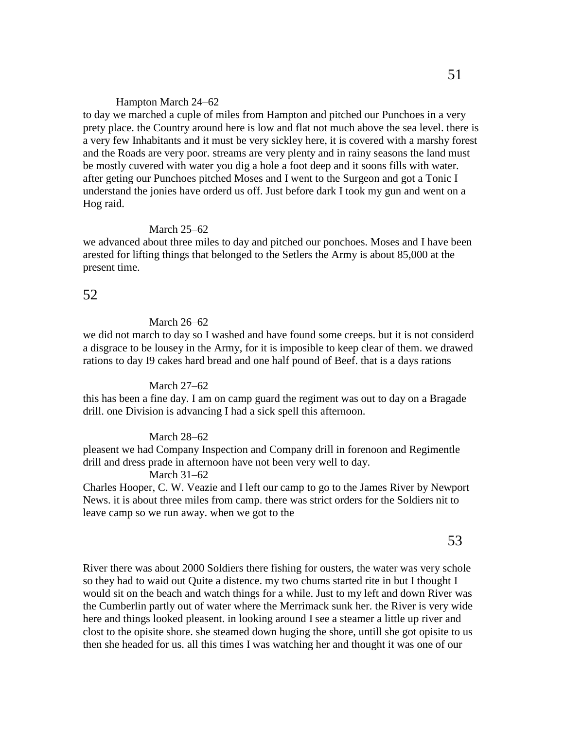#### Hampton March 24–62

to day we marched a cuple of miles from Hampton and pitched our Punchoes in a very prety place. the Country around here is low and flat not much above the sea level. there is a very few Inhabitants and it must be very sickley here, it is covered with a marshy forest and the Roads are very poor. streams are very plenty and in rainy seasons the land must be mostly cuvered with water you dig a hole a foot deep and it soons fills with water. after geting our Punchoes pitched Moses and I went to the Surgeon and got a Tonic I understand the jonies have orderd us off. Just before dark I took my gun and went on a Hog raid.

#### March 25–62

we advanced about three miles to day and pitched our ponchoes. Moses and I have been arested for lifting things that belonged to the Setlers the Army is about 85,000 at the present time.

### 52

#### March 26–62

we did not march to day so I washed and have found some creeps. but it is not considerd a disgrace to be lousey in the Army, for it is imposible to keep clear of them. we drawed rations to day I9 cakes hard bread and one half pound of Beef. that is a days rations

#### March 27–62

this has been a fine day. I am on camp guard the regiment was out to day on a Bragade drill. one Division is advancing I had a sick spell this afternoon.

### March 28–62

pleasent we had Company Inspection and Company drill in forenoon and Regimentle drill and dress prade in afternoon have not been very well to day.

#### March 31–62

Charles Hooper, C. W. Veazie and I left our camp to go to the James River by Newport News. it is about three miles from camp. there was strict orders for the Soldiers nit to leave camp so we run away. when we got to the

### 53

River there was about 2000 Soldiers there fishing for ousters, the water was very schole so they had to waid out Quite a distence. my two chums started rite in but I thought I would sit on the beach and watch things for a while. Just to my left and down River was the Cumberlin partly out of water where the Merrimack sunk her. the River is very wide here and things looked pleasent. in looking around I see a steamer a little up river and clost to the opisite shore. she steamed down huging the shore, untill she got opisite to us then she headed for us. all this times I was watching her and thought it was one of our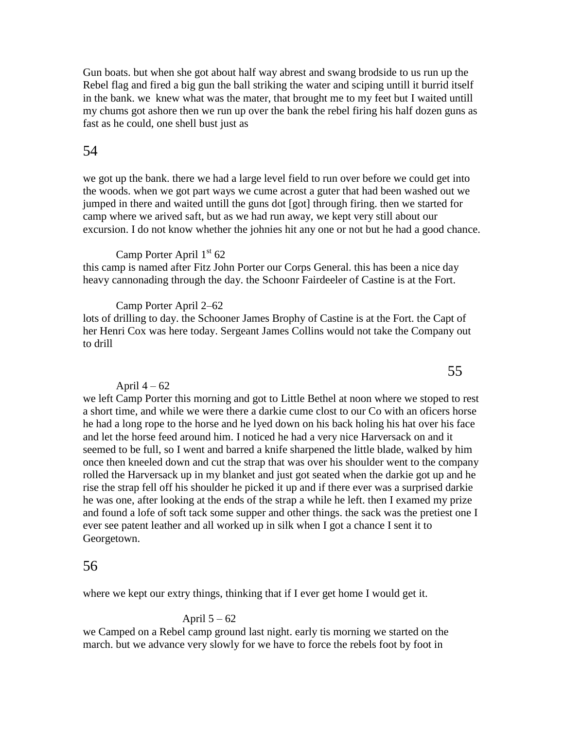Gun boats. but when she got about half way abrest and swang brodside to us run up the Rebel flag and fired a big gun the ball striking the water and sciping untill it burrid itself in the bank. we knew what was the mater, that brought me to my feet but I waited untill my chums got ashore then we run up over the bank the rebel firing his half dozen guns as fast as he could, one shell bust just as

# 54

we got up the bank. there we had a large level field to run over before we could get into the woods. when we got part ways we cume acrost a guter that had been washed out we jumped in there and waited untill the guns dot [got] through firing. then we started for camp where we arived saft, but as we had run away, we kept very still about our excursion. I do not know whether the johnies hit any one or not but he had a good chance.

### Camp Porter April  $1<sup>st</sup> 62$

this camp is named after Fitz John Porter our Corps General. this has been a nice day heavy cannonading through the day. the Schoonr Fairdeeler of Castine is at the Fort.

Camp Porter April 2–62

lots of drilling to day. the Schooner James Brophy of Castine is at the Fort. the Capt of her Henri Cox was here today. Sergeant James Collins would not take the Company out to drill

#### April  $4 - 62$

we left Camp Porter this morning and got to Little Bethel at noon where we stoped to rest a short time, and while we were there a darkie cume clost to our Co with an oficers horse he had a long rope to the horse and he lyed down on his back holing his hat over his face and let the horse feed around him. I noticed he had a very nice Harversack on and it seemed to be full, so I went and barred a knife sharpened the little blade, walked by him once then kneeled down and cut the strap that was over his shoulder went to the company rolled the Harversack up in my blanket and just got seated when the darkie got up and he rise the strap fell off his shoulder he picked it up and if there ever was a surprised darkie he was one, after looking at the ends of the strap a while he left. then I examed my prize and found a lofe of soft tack some supper and other things. the sack was the pretiest one I ever see patent leather and all worked up in silk when I got a chance I sent it to Georgetown.

# 56

where we kept our extry things, thinking that if I ever get home I would get it.

#### April  $5 - 62$

we Camped on a Rebel camp ground last night. early tis morning we started on the march. but we advance very slowly for we have to force the rebels foot by foot in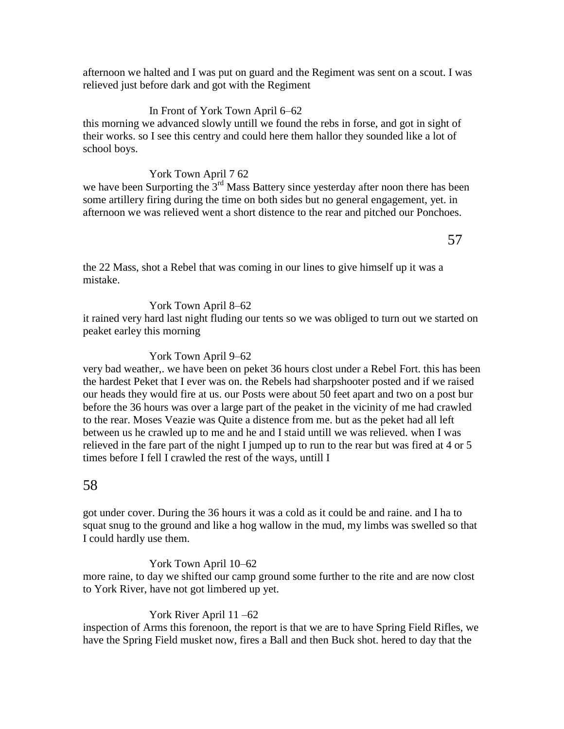afternoon we halted and I was put on guard and the Regiment was sent on a scout. I was relieved just before dark and got with the Regiment

### In Front of York Town April 6–62

this morning we advanced slowly untill we found the rebs in forse, and got in sight of their works. so I see this centry and could here them hallor they sounded like a lot of school boys.

### York Town April 7 62

we have been Surporting the  $3<sup>rd</sup>$  Mass Battery since yesterday after noon there has been some artillery firing during the time on both sides but no general engagement, yet. in afternoon we was relieved went a short distence to the rear and pitched our Ponchoes.

the 22 Mass, shot a Rebel that was coming in our lines to give himself up it was a mistake.

### York Town April 8–62

it rained very hard last night fluding our tents so we was obliged to turn out we started on peaket earley this morning

### York Town April 9–62

very bad weather,. we have been on peket 36 hours clost under a Rebel Fort. this has been the hardest Peket that I ever was on. the Rebels had sharpshooter posted and if we raised our heads they would fire at us. our Posts were about 50 feet apart and two on a post bur before the 36 hours was over a large part of the peaket in the vicinity of me had crawled to the rear. Moses Veazie was Quite a distence from me. but as the peket had all left between us he crawled up to me and he and I staid untill we was relieved. when I was relieved in the fare part of the night I jumped up to run to the rear but was fired at 4 or 5 times before I fell I crawled the rest of the ways, untill I

# 58

got under cover. During the 36 hours it was a cold as it could be and raine. and I ha to squat snug to the ground and like a hog wallow in the mud, my limbs was swelled so that I could hardly use them.

### York Town April 10–62

more raine, to day we shifted our camp ground some further to the rite and are now clost to York River, have not got limbered up yet.

# York River April 11 –62

inspection of Arms this forenoon, the report is that we are to have Spring Field Rifles, we have the Spring Field musket now, fires a Ball and then Buck shot. hered to day that the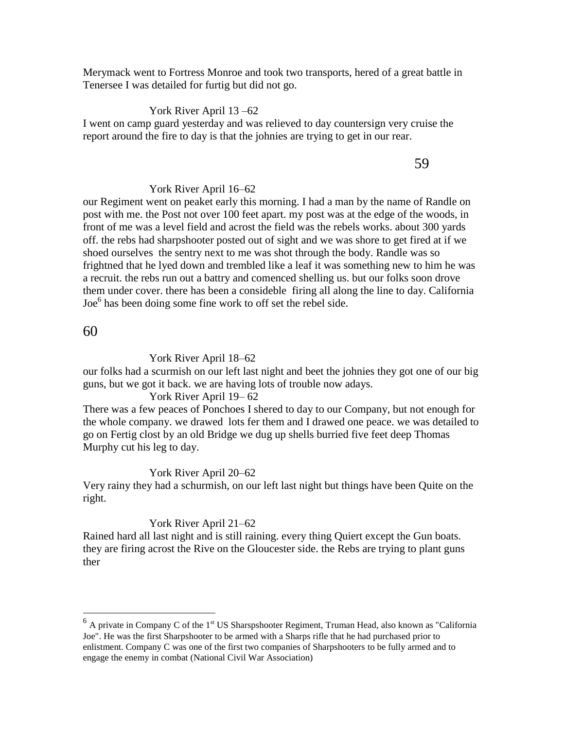Merymack went to Fortress Monroe and took two transports, hered of a great battle in Tenersee I was detailed for furtig but did not go.

### York River April 13 –62

I went on camp guard yesterday and was relieved to day countersign very cruise the report around the fire to day is that the johnies are trying to get in our rear.

#### 59

### York River April 16–62

our Regiment went on peaket early this morning. I had a man by the name of Randle on post with me. the Post not over 100 feet apart. my post was at the edge of the woods, in front of me was a level field and acrost the field was the rebels works. about 300 yards off. the rebs had sharpshooter posted out of sight and we was shore to get fired at if we shoed ourselves the sentry next to me was shot through the body. Randle was so frightned that he lyed down and trembled like a leaf it was something new to him he was a recruit. the rebs run out a battry and comenced shelling us. but our folks soon drove them under cover. there has been a consideble firing all along the line to day. California Joe<sup>6</sup> has been doing some fine work to off set the rebel side.

## 60

#### York River April 18–62

our folks had a scurmish on our left last night and beet the johnies they got one of our big guns, but we got it back. we are having lots of trouble now adays.

#### York River April 19– 62

There was a few peaces of Ponchoes I shered to day to our Company, but not enough for the whole company. we drawed lots fer them and I drawed one peace. we was detailed to go on Fertig clost by an old Bridge we dug up shells burried five feet deep Thomas Murphy cut his leg to day.

#### York River April 20–62

Very rainy they had a schurmish, on our left last night but things have been Quite on the right.

#### York River April 21–62

Rained hard all last night and is still raining. every thing Quiert except the Gun boats. they are firing acrost the Rive on the Gloucester side. the Rebs are trying to plant guns ther

<sup>&</sup>lt;sup>6</sup> A private in Company C of the 1<sup>st</sup> US Sharspshooter Regiment, Truman Head, also known as "California" Joe". He was the first Sharpshooter to be armed with a Sharps rifle that he had purchased prior to enlistment. Company C was one of the first two companies of Sharpshooters to be fully armed and to engage the enemy in combat (National Civil War Association)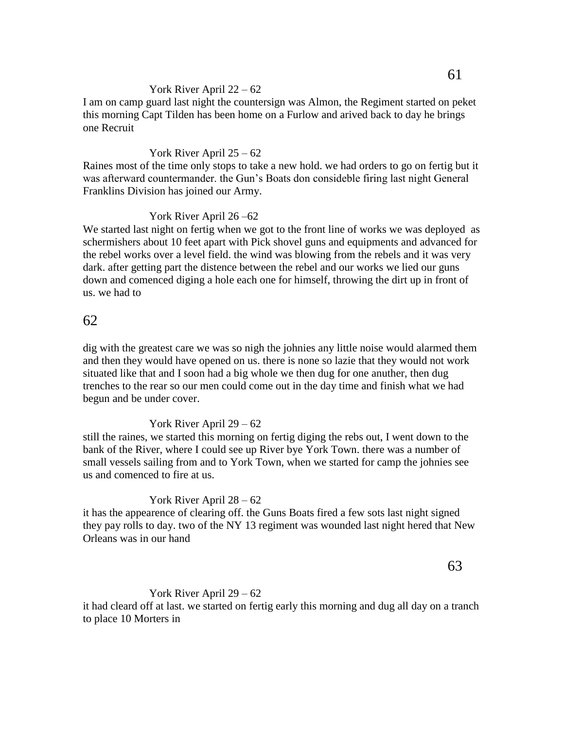### York River April 22 – 62

I am on camp guard last night the countersign was Almon, the Regiment started on peket this morning Capt Tilden has been home on a Furlow and arived back to day he brings one Recruit

### York River April 25 – 62

Raines most of the time only stops to take a new hold. we had orders to go on fertig but it was afterward countermander. the Gun's Boats don consideble firing last night General Franklins Division has joined our Army.

### York River April 26 –62

We started last night on fertig when we got to the front line of works we was deployed as schermishers about 10 feet apart with Pick shovel guns and equipments and advanced for the rebel works over a level field. the wind was blowing from the rebels and it was very dark. after getting part the distence between the rebel and our works we lied our guns down and comenced diging a hole each one for himself, throwing the dirt up in front of us. we had to

# 62

dig with the greatest care we was so nigh the johnies any little noise would alarmed them and then they would have opened on us. there is none so lazie that they would not work situated like that and I soon had a big whole we then dug for one anuther, then dug trenches to the rear so our men could come out in the day time and finish what we had begun and be under cover.

### York River April 29 – 62

still the raines, we started this morning on fertig diging the rebs out, I went down to the bank of the River, where I could see up River bye York Town. there was a number of small vessels sailing from and to York Town, when we started for camp the johnies see us and comenced to fire at us.

#### York River April 28 – 62

it has the appearence of clearing off. the Guns Boats fired a few sots last night signed they pay rolls to day. two of the NY 13 regiment was wounded last night hered that New Orleans was in our hand

63

### York River April 29 – 62

it had cleard off at last. we started on fertig early this morning and dug all day on a tranch to place 10 Morters in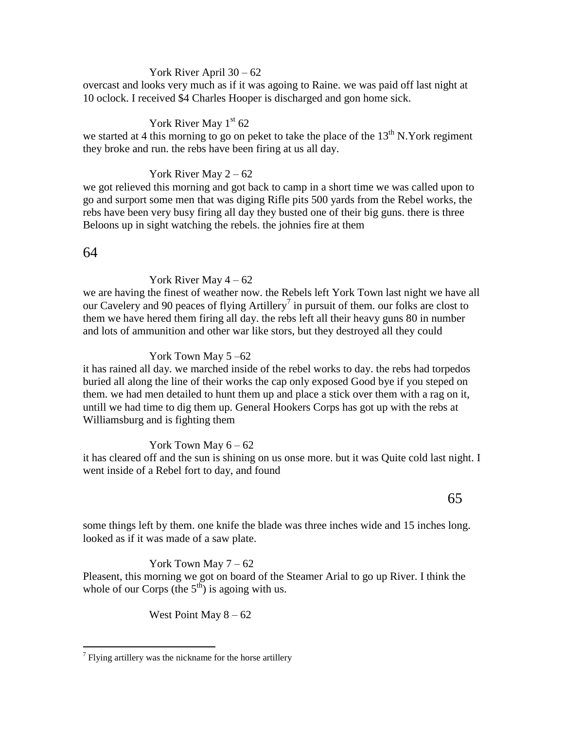#### York River April 30 – 62

overcast and looks very much as if it was agoing to Raine. we was paid off last night at 10 oclock. I received \$4 Charles Hooper is discharged and gon home sick.

### York River May  $1<sup>st</sup> 62$

we started at 4 this morning to go on peket to take the place of the  $13<sup>th</sup>$  N.York regiment they broke and run. the rebs have been firing at us all day.

### York River May  $2 - 62$

we got relieved this morning and got back to camp in a short time we was called upon to go and surport some men that was diging Rifle pits 500 yards from the Rebel works, the rebs have been very busy firing all day they busted one of their big guns. there is three Beloons up in sight watching the rebels. the johnies fire at them

### 64

 $\overline{a}$ 

### York River May  $4 - 62$

we are having the finest of weather now. the Rebels left York Town last night we have all our Cavelery and 90 peaces of flying Artillery<sup>7</sup> in pursuit of them. our folks are clost to them we have hered them firing all day. the rebs left all their heavy guns 80 in number and lots of ammunition and other war like stors, but they destroyed all they could

### York Town May 5 –62

it has rained all day. we marched inside of the rebel works to day. the rebs had torpedos buried all along the line of their works the cap only exposed Good bye if you steped on them. we had men detailed to hunt them up and place a stick over them with a rag on it, untill we had time to dig them up. General Hookers Corps has got up with the rebs at Williamsburg and is fighting them

### York Town May  $6 - 62$

it has cleared off and the sun is shining on us onse more. but it was Quite cold last night. I went inside of a Rebel fort to day, and found

### some things left by them. one knife the blade was three inches wide and 15 inches long. looked as if it was made of a saw plate.

# York Town May  $7 - 62$

Pleasent, this morning we got on board of the Steamer Arial to go up River. I think the whole of our Corps (the  $5<sup>th</sup>$ ) is agoing with us.

West Point May  $8 - 62$ 

 $\sigma$ <sup>7</sup> Flying artillery was the nickname for the horse artillery